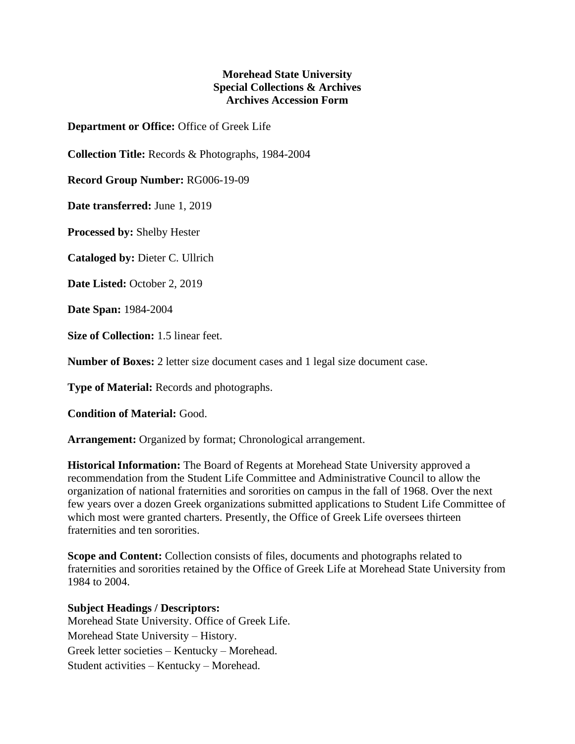## **Morehead State University Special Collections & Archives Archives Accession Form**

**Department or Office:** Office of Greek Life

**Collection Title:** Records & Photographs, 1984-2004

**Record Group Number:** RG006-19-09

**Date transferred:** June 1, 2019

**Processed by:** Shelby Hester

**Cataloged by:** Dieter C. Ullrich

**Date Listed:** October 2, 2019

**Date Span:** 1984-2004

**Size of Collection:** 1.5 linear feet.

**Number of Boxes:** 2 letter size document cases and 1 legal size document case.

**Type of Material:** Records and photographs.

**Condition of Material:** Good.

**Arrangement:** Organized by format; Chronological arrangement.

**Historical Information:** The Board of Regents at Morehead State University approved a recommendation from the Student Life Committee and Administrative Council to allow the organization of national fraternities and sororities on campus in the fall of 1968. Over the next few years over a dozen Greek organizations submitted applications to Student Life Committee of which most were granted charters. Presently, the Office of Greek Life oversees thirteen fraternities and ten sororities.

**Scope and Content:** Collection consists of files, documents and photographs related to fraternities and sororities retained by the Office of Greek Life at Morehead State University from 1984 to 2004.

## **Subject Headings / Descriptors:**

Morehead State University. Office of Greek Life. Morehead State University – History. Greek letter societies – Kentucky – Morehead. Student activities – Kentucky – Morehead.